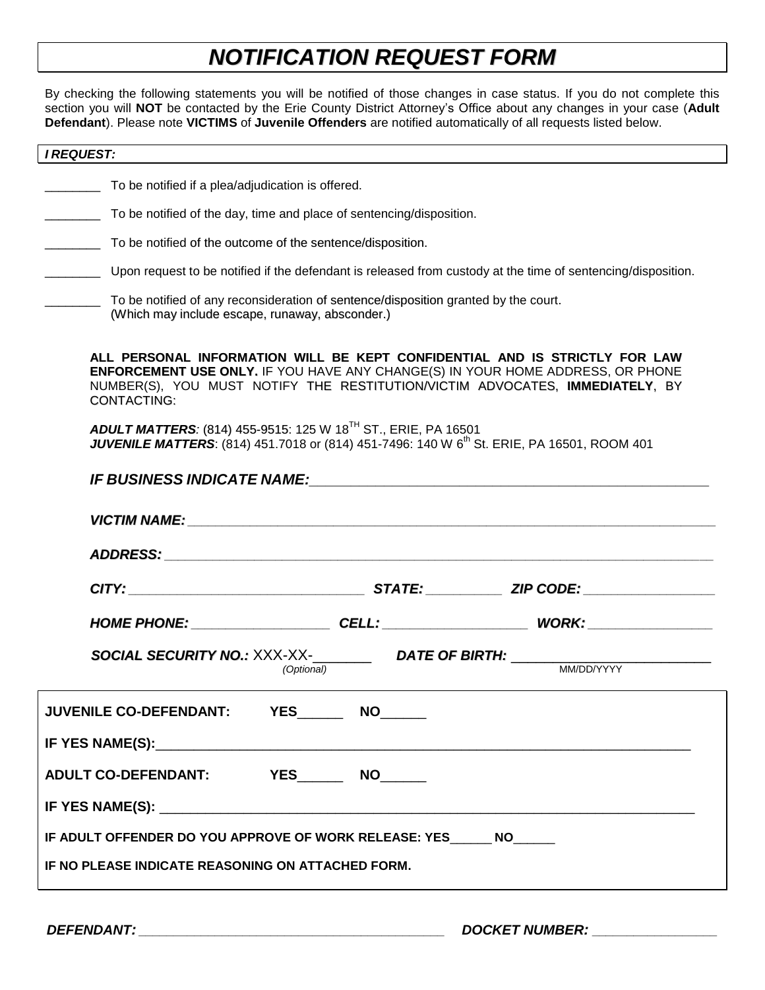# *NOTIFICATION REQUEST FORM*

By checking the following statements you will be notified of those changes in case status. If you do not complete this section you will **NOT** be contacted by the Erie County District Attorney's Office about any changes in your case (**Adult Defendant**). Please note **VICTIMS** of **Juvenile Offenders** are notified automatically of all requests listed below.

### *I REQUEST:*

\_\_\_\_\_\_\_\_ To be notified if a plea/adjudication is offered.

- To be notified of the day, time and place of sentencing/disposition.
- To be notified of the outcome of the sentence/disposition.
- Upon request to be notified if the defendant is released from custody at the time of sentencing/disposition.
	- \_\_\_\_\_\_\_\_ To be notified of any reconsideration of sentence/disposition granted by the court. (Which may include escape, runaway, absconder.)

**ALL PERSONAL INFORMATION WILL BE KEPT CONFIDENTIAL AND IS STRICTLY FOR LAW ENFORCEMENT USE ONLY.** IF YOU HAVE ANY CHANGE(S) IN YOUR HOME ADDRESS, OR PHONE NUMBER(S), YOU MUST NOTIFY THE RESTITUTION/VICTIM ADVOCATES, **IMMEDIATELY**, BY CONTACTING:

*ADULT MATTERS:* (814) 455-9515: 125 W 18TH ST., ERIE, PA 16501 **JUVENILE MATTERS**: (814) 451.7018 or (814) 451-7496: 140 W 6<sup>th</sup> St. ERIE, PA 16501, ROOM 401

| VICTIM NAME: NAME:                                                                                                               |  |  |  |  |  |  |  |  |
|----------------------------------------------------------------------------------------------------------------------------------|--|--|--|--|--|--|--|--|
|                                                                                                                                  |  |  |  |  |  |  |  |  |
|                                                                                                                                  |  |  |  |  |  |  |  |  |
| HOME PHONE: CELL: CELL: WORK: WORK:                                                                                              |  |  |  |  |  |  |  |  |
| <b>SOCIAL SECURITY NO.:</b> $XXX-XX$ - $DATE$ OF BIRTH: $MWDD/YYY$<br><u> 1989 - Johann Barn, amerikansk politiker (d. 1989)</u> |  |  |  |  |  |  |  |  |
| JUVENILE CO-DEFENDANT: YES________ NO______                                                                                      |  |  |  |  |  |  |  |  |
|                                                                                                                                  |  |  |  |  |  |  |  |  |
| ADULT CO-DEFENDANT: YES________ NO______                                                                                         |  |  |  |  |  |  |  |  |
|                                                                                                                                  |  |  |  |  |  |  |  |  |
| IF ADULT OFFENDER DO YOU APPROVE OF WORK RELEASE: YES                   NO                                                       |  |  |  |  |  |  |  |  |
| IF NO PLEASE INDICATE REASONING ON ATTACHED FORM.                                                                                |  |  |  |  |  |  |  |  |
|                                                                                                                                  |  |  |  |  |  |  |  |  |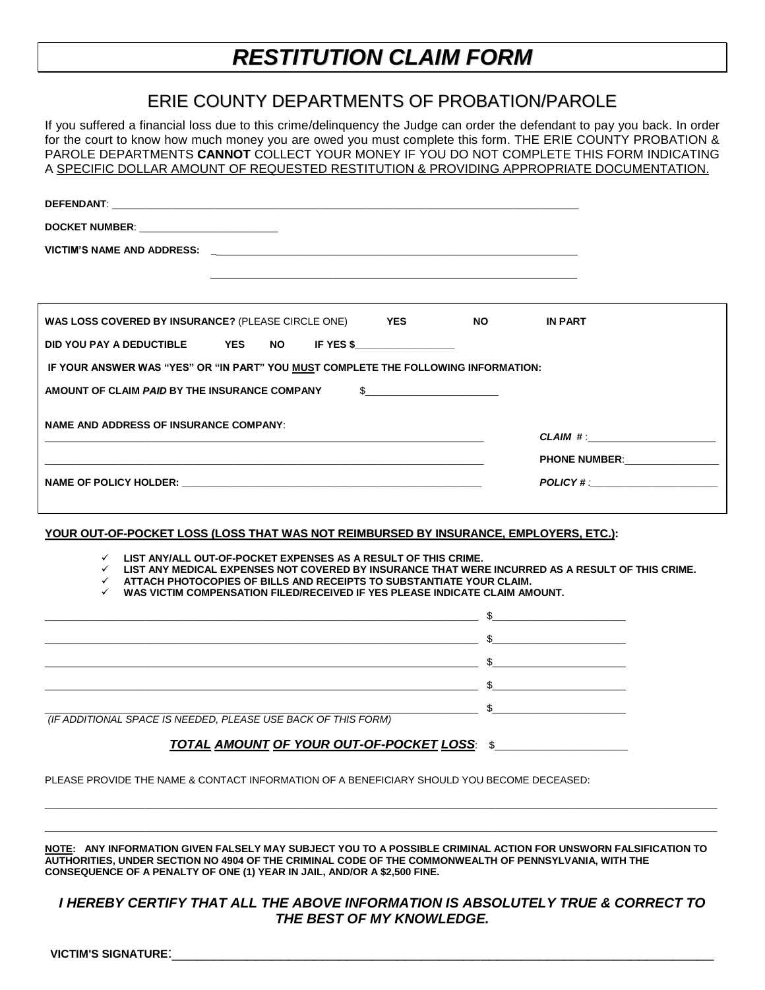# *RESTITUTION CLAIM FORM*

# ERIE COUNTY DEPARTMENTS OF PROBATION/PAROLE

If you suffered a financial loss due to this crime/delinquency the Judge can order the defendant to pay you back. In order for the court to know how much money you are owed you must complete this form. THE ERIE COUNTY PROBATION & PAROLE DEPARTMENTS CANNOT COLLECT YOUR MONEY IF YOU DO NOT COMPLETE THIS FORM INDICATING A SPECIFIC DOLLAR AMOUNT OF REQUESTED RESTITUTION & PROVIDING APPROPRIATE DOCUMENTATION.

| DEFENDANT: University of the contract of the contract of the contract of the contract of the contract of the contract of the contract of the contract of the contract of the contract of the contract of the contract of the c                                                                                                                                                                                                                              |                                   |
|-------------------------------------------------------------------------------------------------------------------------------------------------------------------------------------------------------------------------------------------------------------------------------------------------------------------------------------------------------------------------------------------------------------------------------------------------------------|-----------------------------------|
| DOCKET NUMBER: The contract of the contract of the contract of the contract of the contract of the contract of the contract of the contract of the contract of the contract of the contract of the contract of the contract of                                                                                                                                                                                                                              |                                   |
|                                                                                                                                                                                                                                                                                                                                                                                                                                                             |                                   |
|                                                                                                                                                                                                                                                                                                                                                                                                                                                             |                                   |
| WAS LOSS COVERED BY INSURANCE? (PLEASE CIRCLE ONE) YES                                                                                                                                                                                                                                                                                                                                                                                                      | NO <sub>2</sub><br><b>IN PART</b> |
| IF YES \$<br>DID YOU PAY A DEDUCTIBLE<br><b>YES</b><br>NO.                                                                                                                                                                                                                                                                                                                                                                                                  |                                   |
| IF YOUR ANSWER WAS "YES" OR "IN PART" YOU MUST COMPLETE THE FOLLOWING INFORMATION:                                                                                                                                                                                                                                                                                                                                                                          |                                   |
| AMOUNT OF CLAIM <i>PAID</i> BY THE INSURANCE COMPANY<br>S.                                                                                                                                                                                                                                                                                                                                                                                                  |                                   |
| <b>NAME AND ADDRESS OF INSURANCE COMPANY:</b>                                                                                                                                                                                                                                                                                                                                                                                                               |                                   |
|                                                                                                                                                                                                                                                                                                                                                                                                                                                             | CLAIM #:                          |
|                                                                                                                                                                                                                                                                                                                                                                                                                                                             | PHONE NUMBER: NORTH PHONE NUMBER: |
| NAME OF POLICY HOLDER: NAME OF POLICY AND RESERVE THE CONTRACT OF THE CONTRACT OF THE CONTRACT OF THE CONTRACT OF THE CONTRACT OF THE CONTRACT OF THE CONTRACT OF THE CONTRACT OF THE CONTRACT OF THE CONTRACT OF THE CONTRACT                                                                                                                                                                                                                              | <b>POLICY # :</b>                 |
| YOUR OUT-OF-POCKET LOSS (LOSS THAT WAS NOT REIMBURSED BY INSURANCE, EMPLOYERS, ETC.):<br>$\checkmark$ LIST ANY/ALL OUT-OF-POCKET EXPENSES AS A RESULT OF THIS CRIME.<br>$\checkmark$ . LIST ANY MEDICAL EXPENSES NOT COVERED BY INSURANCE THAT WERE INCURRED AS A RESULT OF THIS CRIME.<br>$\checkmark$ attach photocopies of bills and receipts to substantiate your claim.<br>WAS VICTIM COMPENSATION FILED/RECEIVED IF YES PLEASE INDICATE CLAIM AMOUNT. |                                   |
|                                                                                                                                                                                                                                                                                                                                                                                                                                                             |                                   |
| <u>in the contract of the contract of the contract of the contract of the contract of the contract of the contract of the contract of the contract of the contract of the contract of the contract of the contract of the contra</u>                                                                                                                                                                                                                        |                                   |
|                                                                                                                                                                                                                                                                                                                                                                                                                                                             |                                   |
|                                                                                                                                                                                                                                                                                                                                                                                                                                                             |                                   |
| (IF ADDITIONAL SPACE IS NEEDED, PLEASE USE BACK OF THIS FORM)                                                                                                                                                                                                                                                                                                                                                                                               |                                   |
| TOTAL AMOUNT OF YOUR OUT-OF-POCKET LOSS: \$                                                                                                                                                                                                                                                                                                                                                                                                                 |                                   |
| PLEASE PROVIDE THE NAME & CONTACT INFORMATION OF A BENEFICIARY SHOULD YOU BECOME DECEASED:                                                                                                                                                                                                                                                                                                                                                                  |                                   |

**NOTE: ANY INFORMATION GIVEN FALSELY MAY SUBJECT YOU TO A POSSIBLE CRIMINAL ACTION FOR UNSWORN FALSIFICATION TO AUTHORITIES, UNDER SECTION NO 4904 OF THE CRIMINAL CODE OF THE COMMONWEALTH OF PENNSYLVANIA, WITH THE CONSEQUENCE OF A PENALTY OF ONE (1) YEAR IN JAIL, AND/OR A \$2,500 FINE.**

\_\_\_\_\_\_\_\_\_\_\_\_\_\_\_\_\_\_\_\_\_\_\_\_\_\_\_\_\_\_\_\_\_\_\_\_\_\_\_\_\_\_\_\_\_\_\_\_\_\_\_\_\_\_\_\_\_\_\_\_\_\_\_\_\_\_\_\_\_\_\_\_\_\_\_\_\_\_\_\_\_\_\_\_\_\_\_\_\_\_\_\_\_\_\_\_\_\_\_\_\_\_\_\_\_\_\_\_\_\_\_\_\_\_\_\_\_\_\_\_\_

# *I HEREBY CERTIFY THAT ALL THE ABOVE INFORMATION IS ABSOLUTELY TRUE & CORRECT TO THE BEST OF MY KNOWLEDGE.*

VICTIM'S SIGNATURE: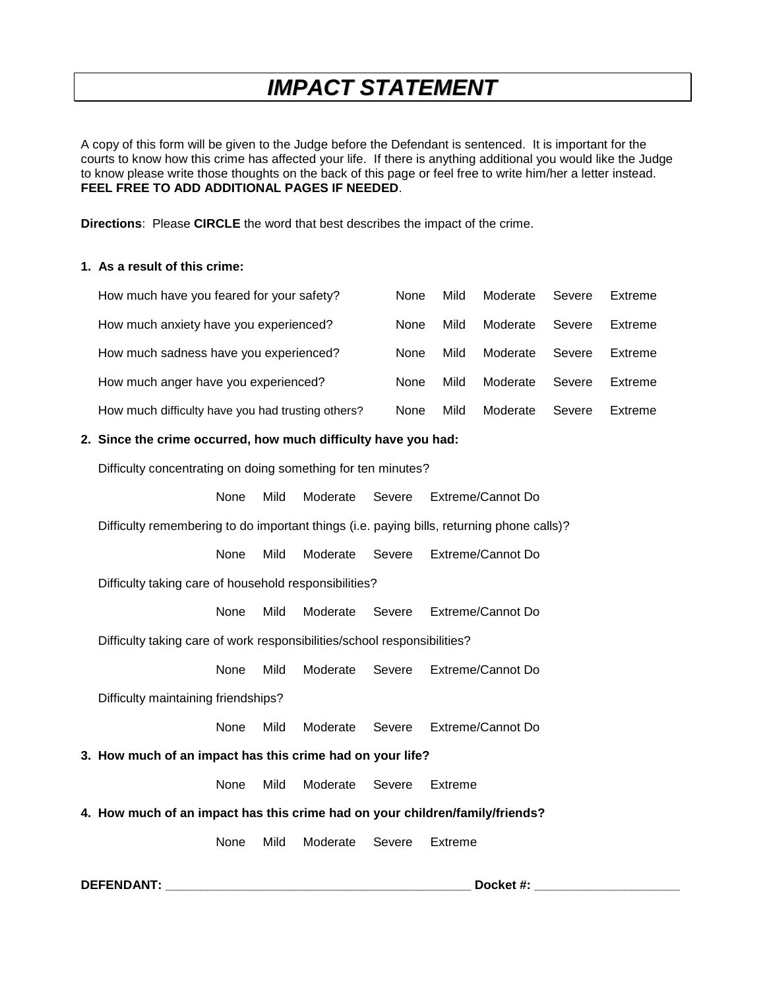# *IMPACT STATEMENT*

A copy of this form will be given to the Judge before the Defendant is sentenced. It is important for the courts to know how this crime has affected your life. If there is anything additional you would like the Judge to know please write those thoughts on the back of this page or feel free to write him/her a letter instead. **FEEL FREE TO ADD ADDITIONAL PAGES IF NEEDED**.

**Directions**: Please **CIRCLE** the word that best describes the impact of the crime.

#### **1. As a result of this crime:**

| How much have you feared for your safety?         | None        | Mild | Moderate | Severe | Extreme |
|---------------------------------------------------|-------------|------|----------|--------|---------|
| How much anxiety have you experienced?            | None        | Mild | Moderate | Severe | Extreme |
| How much sadness have you experienced?            | None        | Mild | Moderate | Severe | Extreme |
| How much anger have you experienced?              | <b>None</b> | Mild | Moderate | Severe | Extreme |
| How much difficulty have you had trusting others? | None        | Mild | Moderate | Severe | Extreme |

#### **2. Since the crime occurred, how much difficulty have you had:**

Difficulty concentrating on doing something for ten minutes?

None Mild Moderate Severe Extreme/Cannot Do

Difficulty remembering to do important things (i.e. paying bills, returning phone calls)?

None Mild Moderate Severe Extreme/Cannot Do

Difficulty taking care of household responsibilities?

None Mild Moderate Severe Extreme/Cannot Do

Difficulty taking care of work responsibilities/school responsibilities?

None Mild Moderate Severe Extreme/Cannot Do

Difficulty maintaining friendships?

None Mild Moderate Severe Extreme/Cannot Do

#### **3. How much of an impact has this crime had on your life?**

None Mild Moderate Severe Extreme

**4. How much of an impact has this crime had on your children/family/friends?**

None Mild Moderate Severe Extreme

**DEFENDANT: \_\_\_\_\_\_\_\_\_\_\_\_\_\_\_\_\_\_\_\_\_\_\_\_\_\_\_\_\_\_\_\_\_\_\_\_\_\_\_\_\_\_\_\_ Docket #: \_\_\_\_\_\_\_\_\_\_\_\_\_\_\_\_\_\_\_\_\_**